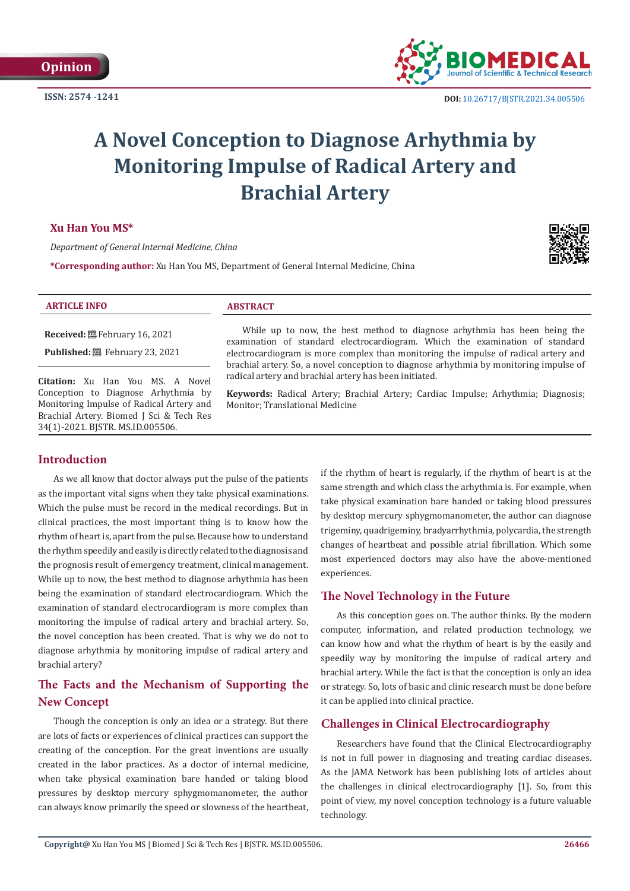**ISSN: 2574 -1241**



# **A Novel Conception to Diagnose Arhythmia by Monitoring Impulse of Radical Artery and Brachial Artery**

#### **Xu Han You MS\***

*Department of General Internal Medicine, China*

**\*Corresponding author:** Xu Han You MS, Department of General Internal Medicine, China



#### **ARTICLE INFO ABSTRACT**

**Received:** February 16, 2021

**Published:** February 23, 2021

**Citation:** Xu Han You MS. A Novel Conception to Diagnose Arhythmia by Monitoring Impulse of Radical Artery and Brachial Artery. Biomed J Sci & Tech Res 34(1)-2021. BJSTR. MS.ID.005506.

While up to now, the best method to diagnose arhythmia has been being the examination of standard electrocardiogram. Which the examination of standard electrocardiogram is more complex than monitoring the impulse of radical artery and brachial artery. So, a novel conception to diagnose arhythmia by monitoring impulse of radical artery and brachial artery has been initiated.

**Keywords:** Radical Artery; Brachial Artery; Cardiac Impulse; Arhythmia; Diagnosis; Monitor; Translational Medicine

#### **Introduction**

As we all know that doctor always put the pulse of the patients as the important vital signs when they take physical examinations. Which the pulse must be record in the medical recordings. But in clinical practices, the most important thing is to know how the rhythm of heart is, apart from the pulse. Because how to understand the rhythm speedily and easily is directly related to the diagnosis and the prognosis result of emergency treatment, clinical management. While up to now, the best method to diagnose arhythmia has been being the examination of standard electrocardiogram. Which the examination of standard electrocardiogram is more complex than monitoring the impulse of radical artery and brachial artery. So, the novel conception has been created. That is why we do not to diagnose arhythmia by monitoring impulse of radical artery and brachial artery?

# **The Facts and the Mechanism of Supporting the New Concept**

Though the conception is only an idea or a strategy. But there are lots of facts or experiences of clinical practices can support the creating of the conception. For the great inventions are usually created in the labor practices. As a doctor of internal medicine, when take physical examination bare handed or taking blood pressures by desktop mercury sphygmomanometer, the author can always know primarily the speed or slowness of the heartbeat,

if the rhythm of heart is regularly, if the rhythm of heart is at the same strength and which class the arhythmia is. For example, when take physical examination bare handed or taking blood pressures by desktop mercury sphygmomanometer, the author can diagnose trigeminy, quadrigeminy, bradyarrhythmia, polycardia, the strength changes of heartbeat and possible atrial fibrillation. Which some most experienced doctors may also have the above-mentioned experiences.

#### **The Novel Technology in the Future**

As this conception goes on. The author thinks. By the modern computer, information, and related production technology, we can know how and what the rhythm of heart is by the easily and speedily way by monitoring the impulse of radical artery and brachial artery. While the fact is that the conception is only an idea or strategy. So, lots of basic and clinic research must be done before it can be applied into clinical practice.

### **Challenges in Clinical Electrocardiography**

Researchers have found that the Clinical Electrocardiography is not in full power in diagnosing and treating cardiac diseases. As the JAMA Network has been publishing lots of articles about the challenges in clinical electrocardiography [1]. So, from this point of view, my novel conception technology is a future valuable technology.